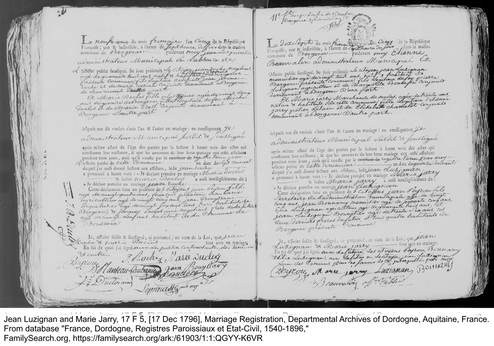In neufrience du mois fremeaire la Cinq de la République<br>Française; une le indivisible, à l'heure de *Jeptheure, deffeur* dans la maison<br>commune de Bergerae administrateur Municipal en d'absence de

L'officier public soutigné. Se sont présentés Le citypen jean secondre le grandient.

aus ou givaire de Bengeroy fille Plegitime de feu Michel Bergeras Dante part.

lefquels ont dit vouloir s'unir l'un & l'autre en mariage : en conféquence ye administrateur Municipal histit & Joursiane

après m'être afluré de l'âge des parties par la lecture à haute voix des actes qui conftatent leur naiflance, & que les annonces de leur futur mariage ont refté affichées pendant trois jours, ainli qu'il conste par le certifieur de régistre terme par Volticier public de Cette Commune duquel j'ai aussi donné lecture aux assistans, ledit jean Eoche a prononcé à haute voix : « Je déclare prendre en mariage Marie ducles & ladice marie Duclus a aufli intelligiblement dit i « Je déclare prendre en mariage cease Euche. Cette déclaration taite en préfence de 5 citoyeus jean d'eye au filst. cejo de amigliquata ans, francois planteau Laubarne agriculteur agt de vingt cinq aus, jean Bouyssain age de mingt neufaus habitant de La Commune de Bordeaux

Je, officier fuldit & loufligné, ai prononcé j'au nom de la Loi, que Lean oche di travicie Maclus - bont unis en mariage.<br>En soi de quoi j'ai ligné avec des praetres contracteutes, des tesseuris

80 anteau-Saubaniere Joan

Thuckey Narw Ducley

suit

De cuitres.

yroug A

Juitorams

Française; une & indivisible, à l'heure de Maria de la République<br>Française; une & indivisible, à l'heure de Maria, du forme dans la mailon<br>commune de Prorgarae pardevant may. Élienne Beauvalor administrateur Municipal et

Me fourntimbre de 3, continue.

Officier public soutligné. Se sont présentés de citoyen jean dukignan

a A Marie jarry Marchande de modes, agée de trente aus demeurant absengerad Dautre part.

lesquels ont dit vouloir s'unir l'un & l'autre en mariage : en conséquence ye administrateur Municipal Pustel & fourtigne

après m'être afluré de l'âge des parties par la lecture à haute voix des actes qui conflatent leur naislance, & que les annonces de leur futur mariage ont resté affichées pendant trois jours, ainsi qu'il conste par le certificat de ragistre Tenu par moy - en date duquinza Courant officier public de Cette commune duquel j'ai aussi donné lecture aux assistans, leditiean Aurignan. a prononcé à haute voix : « Je déclare prendre en mariage Meavere, javry

a prononce a name visaire Marie jarray a authi intelligiblement dit: Eing ans jean Bonnamy memis der age de feuante cinq ans, Bergera présente Dommune.

Je, officier fusdit & foutligné, ai proponcé, au nom de la Loi, que Jean - font unis en mariage. Lutignan & Marie jarry -En toi de quoi j'ai signé. avec da futura Les attengens d'experce, Bonnamy Velie Lutignan, non Sefution ni Sections en Lutignan. eyeon, More jury Luzianan, Boulding

\* reauvalors of

Jean Luzignan and Marie Jarry, 17 F 5, [17 Dec 1796], Marriage Registration, Departmental Archives of Dordogne, Aquitaine, France. From database "France, Dordogne, Registres Paroissiaux et Etat-Civil, 1540-1896," FamilySearch.org, https://familysearch.org/ark:/61903/1:1:QGYY-K6VR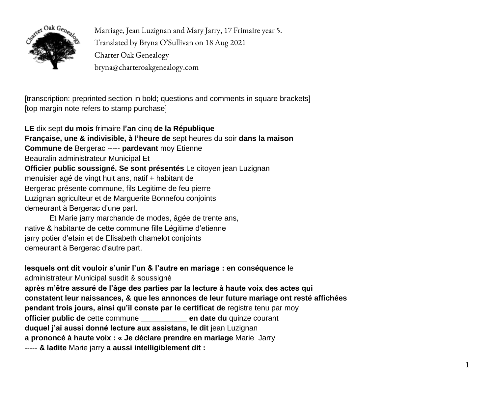

Marriage, Jean Luzignan and Mary Jarry, 17 Frimaire year 5. Translated by Bryna O'Sullivan on 18 Aug 2021 Charter Oak Genealogy bryna@charteroakgenealogy.com

[transcription: preprinted section in bold; questions and comments in square brackets] [top margin note refers to stamp purchase]

**LE** dix sept **du mois** frimaire **l'an** cinq **de la République Française, une & indivisible, à l'heure de** sept heures du soir **dans la maison Commune de** Bergerac ----- **pardevant** moy Etienne Beauralin administrateur Municipal Et **Officier public soussigné. Se sont présentés** Le citoyen jean Luzignan menuisier agé de vingt huit ans, natif + habitant de Bergerac présente commune, fils Legitime de feu pierre Luzignan agriculteur et de Marguerite Bonnefou conjoints demeurant à Bergerac d'une part.

Et Marie jarry marchande de modes, âgée de trente ans, native & habitante de cette commune fille Légitime d'etienne jarry potier d'etain et de Elisabeth chamelot conjoints demeurant à Bergerac d'autre part.

## **lesquels ont dit vouloir s'unir l'un & l'autre en mariage : en conséquence** le

administrateur Municipal susdit & soussigné **après m'être assuré de l'âge des parties par la lecture à haute voix des actes qui constatent leur naissances, & que les annonces de leur future mariage ont resté affichées pendant trois jours, ainsi qu'il conste par le certificat de** registre tenu par moy **officier public de** cette commune \_\_\_\_\_\_\_\_\_\_\_ **en date du** quinze courant **duquel j'ai aussi donné lecture aux assistans, le dit** jean Luzignan **a prononcé à haute voix : « Je déclare prendre en mariage** Marie Jarry ----- **& ladite** Marie jarry **a aussi intelligiblement dit :**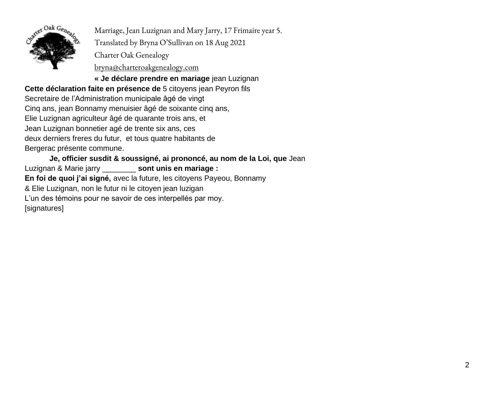

Marriage, Jean Luzignan and Mary Jarry, 17 Frimaire year 5. Translated by Bryna O'Sullivan on 18 Aug 2021 Charter Oak Genealogy

bryna@charteroakgenealogy.com

**« Je déclare prendre en mariage** jean Luzignan

**Cette déclaration faite en présence de** 5 citoyens jean Peyron fils Secretaire de l'Administration municipale âgé de vingt Cinq ans, jean Bonnamy menuisier âgé de soixante cinq ans, Elie Luzignan agriculteur âgé de quarante trois ans, et Jean Luzignan bonnetier agé de trente six ans, ces deux derniers freres du futur, et tous quatre habitants de Bergerac présente commune.

**Je, officier susdit & soussigné, ai prononcé, au nom de la Loi, que** Jean Luzignan & Marie jarry \_\_\_\_\_\_\_\_ **sont unis en mariage : En foi de quoi j'ai signé,** avec la future, les citoyens Payeou, Bonnamy & Elie Luzignan, non le futur ni le citoyen jean luzigan L'un des témoins pour ne savoir de ces interpellés par moy. [signatures]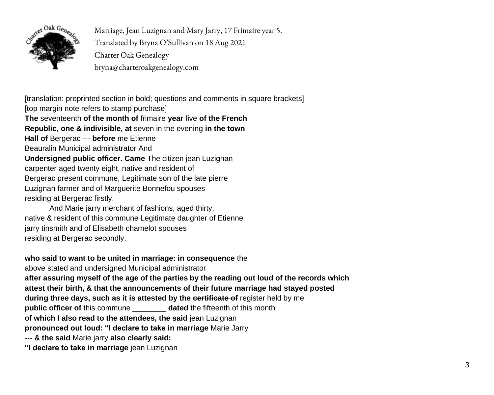

Marriage, Jean Luzignan and Mary Jarry, 17 Frimaire year 5. Translated by Bryna O'Sullivan on 18 Aug 2021 Charter Oak Genealogy bryna@charteroakgenealogy.com

[translation: preprinted section in bold; questions and comments in square brackets] [top margin note refers to stamp purchase] **The** seventeenth **of the month of** frimaire **year** five **of the French Republic, one & indivisible, at** seven in the evening **in the town Hall of** Bergerac --- **before** me Etienne Beauralin Municipal administrator And **Undersigned public officer. Came** The citizen jean Luzignan carpenter aged twenty eight, native and resident of Bergerac present commune, Legitimate son of the late pierre Luzignan farmer and of Marguerite Bonnefou spouses residing at Bergerac firstly.

And Marie jarry merchant of fashions, aged thirty, native & resident of this commune Legitimate daughter of Etienne jarry tinsmith and of Elisabeth chamelot spouses residing at Bergerac secondly.

## **who said to want to be united in marriage: in consequence** the

above stated and undersigned Municipal administrator

**after assuring myself of the age of the parties by the reading out loud of the records which attest their birth, & that the announcements of their future marriage had stayed posted during three days, such as it is attested by the certificate of** register held by me **public officer of this commune dated the fifteenth of this month of which I also read to the attendees, the said** jean Luzignan **pronounced out loud: "I declare to take in marriage** Marie Jarry

--- **& the said** Marie jarry **also clearly said:** 

**"I declare to take in marriage** jean Luzignan